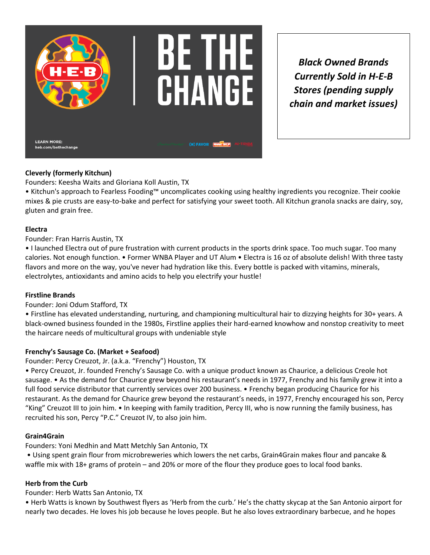

*Black Owned Brands Currently Sold in H-E-B Stores (pending supply chain and market issues)*

# **Cleverly (formerly Kitchun)**

Founders: Keesha Waits and Gloriana Koll Austin, TX

• Kitchun's approach to Fearless Fooding™ uncomplicates cooking using healthy ingredients you recognize. Their cookie mixes & pie crusts are easy-to-bake and perfect for satisfying your sweet tooth. All Kitchun granola snacks are dairy, soy, gluten and grain free.

### **Electra**

Founder: Fran Harris Austin, TX

• I launched Electra out of pure frustration with current products in the sports drink space. Too much sugar. Too many calories. Not enough function. • Former WNBA Player and UT Alum • Electra is 16 oz of absolute delish! With three tasty flavors and more on the way, you've never had hydration like this. Every bottle is packed with vitamins, minerals, electrolytes, antioxidants and amino acids to help you electrify your hustle!

### **Firstline Brands**

Founder: Joni Odum Stafford, TX

• Firstline has elevated understanding, nurturing, and championing multicultural hair to dizzying heights for 30+ years. A black-owned business founded in the 1980s, Firstline applies their hard-earned knowhow and nonstop creativity to meet the haircare needs of multicultural groups with undeniable style

# **Frenchy's Sausage Co. (Market + Seafood)**

Founder: Percy Creuzot, Jr. (a.k.a. "Frenchy") Houston, TX

• Percy Creuzot, Jr. founded Frenchy's Sausage Co. with a unique product known as Chaurice, a delicious Creole hot sausage. • As the demand for Chaurice grew beyond his restaurant's needs in 1977, Frenchy and his family grew it into a full food service distributor that currently services over 200 business. • Frenchy began producing Chaurice for his restaurant. As the demand for Chaurice grew beyond the restaurant's needs, in 1977, Frenchy encouraged his son, Percy "King" Creuzot III to join him. • In keeping with family tradition, Percy III, who is now running the family business, has recruited his son, Percy "P.C." Creuzot IV, to also join him.

### **Grain4Grain**

Founders: Yoni Medhin and Matt Metchly San Antonio, TX

• Using spent grain flour from microbreweries which lowers the net carbs, Grain4Grain makes flour and pancake & waffle mix with 18+ grams of protein – and 20% or more of the flour they produce goes to local food banks.

# **Herb from the Curb**

Founder: Herb Watts San Antonio, TX

• Herb Watts is known by Southwest flyers as 'Herb from the curb.' He's the chatty skycap at the San Antonio airport for nearly two decades. He loves his job because he loves people. But he also loves extraordinary barbecue, and he hopes